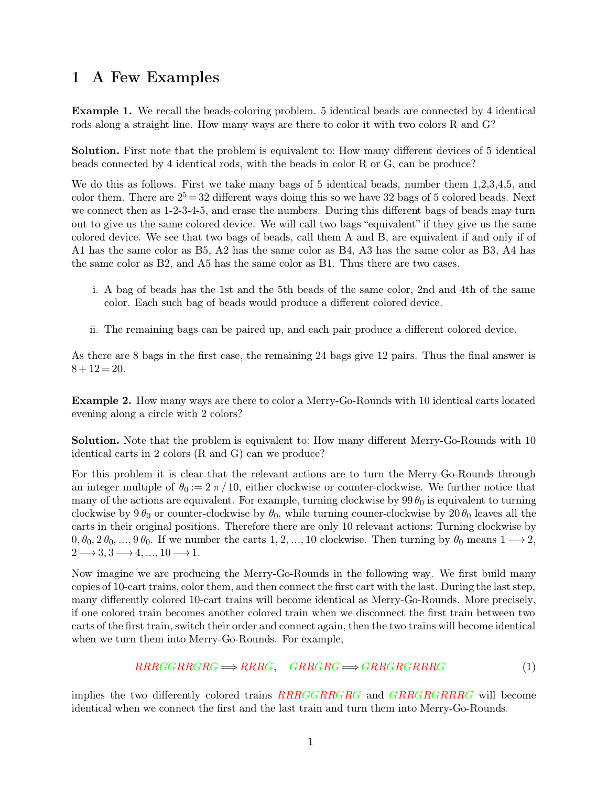## **<sup>1</sup> A Few Examples**

**1 A Few Examples**<br>**Example 1.** We recall the beads-coloring problem. 5 identical beads are connected by 4 identical<br>rods along a straight line. How many ways are there to color it with two colors R and G? **1 A Few Examples**<br>**Example 1.** We recall the beads-coloring problem. 5 identical beads are connected by 4 identica<br>rods along a straight line. How many ways are there to color it with two colors R and G? **Example 1.** We recall the beads-coloring problem. 5 identical beads are connected by 4 identical rods along a straight line. How many ways are there to color it with two colors R and G?<br>**Solution.** First note that the pro **Example 1.** We recall the beads-coloring problem. 5 identical beads are connected by 4 identical rods along a straight line. How many ways are there to color it with two colors R and G?<br>**Solution.** First note that the pr

rods along a straight line. How many ways are there to color it with two colors R and G?<br> **Solution.** First note that the problem is equivalent to: How many different devices of 5 identical beads connected by 4 identical **Solution.** First note that the problem is equivalent to: How many different devices of 5 identical beads connected by 4 identical rods, with the beads in color R or G, can be produce?<br>We do this as follows. First we take **Solution.** First note that the problem is equivalent to: How many different devices of 5 identical beads connected by 4 identical rods, with the beads in color R or G, can be produce?<br>We do this as follows. First we take beads connected by 4 identical rods, with the beads in color R or G, can be produce?<br>We do this as follows. First we take many bags of 5 identical beads, number them 1,2,3,4,5, and<br>color them. There are  $2^5 = 32$  differen We do this as follows. First we take many bags of 5 identical beads, number them 1,2,3,4,5, and color them. There are  $2^5 = 32$  different ways doing this so we have 32 bags of 5 colored beads. Next we connect then as 1-2-We do this as follows. First we take many bags of 5 identical beads, number them 1,2,3,4,5, and<br>color them. There are  $2^5 = 32$  different ways doing this so we have 32 bags of 5 colored beads. Next<br>we connect then as 1-2we connect then as 1-2-3-4-5, and erase the numbers. During this different bags of beads may turn<br>out to give us the same colored device. We will call two bags "equivalent" if they give us the same<br>colored device. We see i. A bag of beads has the 1st and the 5th beads of the same color, 2nd and 4th of the same color. Each such bag of beads would produce a different colored device. Thus the same color as B3, A4 has same color as B2, and A5

- the same color as B2, and A5 has the same color as B1. Thus there are two cases.<br>
i. A bag of beads has the 1st and the 5th beads of the same color, 2nd and 4th of the sacolor. Each such bag of beads would produce a differ i. A bag of beads has the 1st and the 5th beads of the same color, 2nd and 4th of the same
	-

Fraction 1. A bag of beads has the 1st and the 5th beads of the same color, 2nd and 4th of the same color. Each such bag of beads would produce a different colored device.<br>
ii. The remaining bags can be paired up, and eac ii. The remaining<br> $As there are 8 bags in   
8 + 12 = 20.$ As there are 8 bags in the first case, the remaining 24 bags give 12 pairs. Thus the final answer is  $8 + 12 = 20$ .<br>**Example 2.** How many ways are there to color a Merry-Go-Rounds with 10 identical carts located evening alo As there are 8 bags in the first case, the ren  $8 + 12 = 20$ .<br>Example 2. How many ways are there to conversing along a circle with 2 colors?

<span id="page-0-0"></span>**Example 2.** How many ways are there to color a Merry-Go-R evening along a circle with 2 colors?<br> **Solution.** Note that the problem is equivalent to: How many identical carts in 2 colors (R and G) can we produce?<br>
For this

**Example 2.** How many ways are there to color a Merry-Go-Rounds with 10 identical carts located evening along a circle with 2 colors?<br> **Solution.** Note that the problem is equivalent to: How many different Merry-Go-Rounds

**Solution.** Note that the problem is equivalent to: How many different Merry-Go-Rounds with 10 identical carts in 2 colors (R and G) can we produce?<br>For this problem it is clear that the relevant actions are to turn the M **Solution.** Note that the problem is equivalent to: How many different Merry-Go-Rounds with 10 identical carts in 2 colors (R and G) can we produce?<br>For this problem it is clear that the relevant actions are to turn the M **Solution.** Note that the problem is equivalent to: How many different Merry-Go-Rounds with 10 identical carts in 2 colors (R and G) can we produce?<br>For this problem it is clear that the relevant actions are to turn the M identical carts in 2 colors (R and G) can we produce?<br>For this problem it is clear that the relevant actions are to turn the Merry-Go-Rounds through<br>an integer multiple of  $\theta_0 := 2 \pi / 10$ , either clockwise or counter-cloc For this problem it is clear that the relevant actions are to turn the Merry-Go-Rounds through<br>an integer multiple of  $\theta_0 := 2 \pi / 10$ , either clockwise or counter-clockwise. We further notice that<br>many of the actions are For this problem it is clear that the relevant actions are to turn the Merry-Go-Rounds through<br>an integer multiple of  $\theta_0 := 2 \pi/10$ , either clockwise or counter-clockwise. We further notice that<br>many of the actions are e

carts in their original positions. Therefore there are only 10 relevant actions: Turning clockwise by  $0, \theta_0, 2\theta_0, ..., 9\theta_0$ . If we number the carts 1, 2, ..., 10 clockwise. Then turning by  $\theta_0$  means  $1 \rightarrow 2$ ,  $2 \rightarrow 3,$  $0, \theta_0, 2\theta_0, ..., 9\theta_0$ . If we number the carts 1, 2, ..., 10 clockwise. Then turning by  $\theta_0$  means  $1 \rightarrow 2$ ,  $2 \rightarrow 3, 3 \rightarrow 4, ..., 10 \rightarrow 1$ .<br>Now imagine we are producing the Merry-Go-Rounds in the following way. We first build  $2 \rightarrow 3, 3 \rightarrow 4, ..., 10 \rightarrow 1$ .<br>Now imagine we are producing the Merry-Go-Rounds in the following way. We first build many<br>copies of 10-cart trains, color them, and then connect the first cart with the last. During the last step Now imagine we are producing the Merry-Go-Rounds in the following way. We first build many copies of 10-cart trains, color them, and then connect the first cart with the last. During the last step, many differently colored copies of 10-cart trains, color them, and then connect the first cart with the last. During the last step,

$$
RRRGGRRGRG \Longrightarrow RRRG, \quad GRRGRG \Longrightarrow GRRGRRRRG \tag{1}
$$

 $RRRGGRRGRG \implies RRRG, \quad GRRGRG \implies GRRGRGRRGRG \implies GRRGRRGRG$  (1)<br>implies the two differently colored trains  $RRRGGRRGRG$  and  $GRRGRRRG$  will become<br>identical when we connect the first and the last train and turn them into Merry-Go-Rounds.  $RRRGGRRGRG \Longrightarrow RRRG, \quad GRRGRGRG \Longrightarrow GRRGRRRGG$  (1<br>implies the two differently colored trains  $RRRGGRRGRG$  and  $GRRGRGRRRG$  will becom<br>identical when we connect the first and the last train and turn them into Merry-Go-Rounds.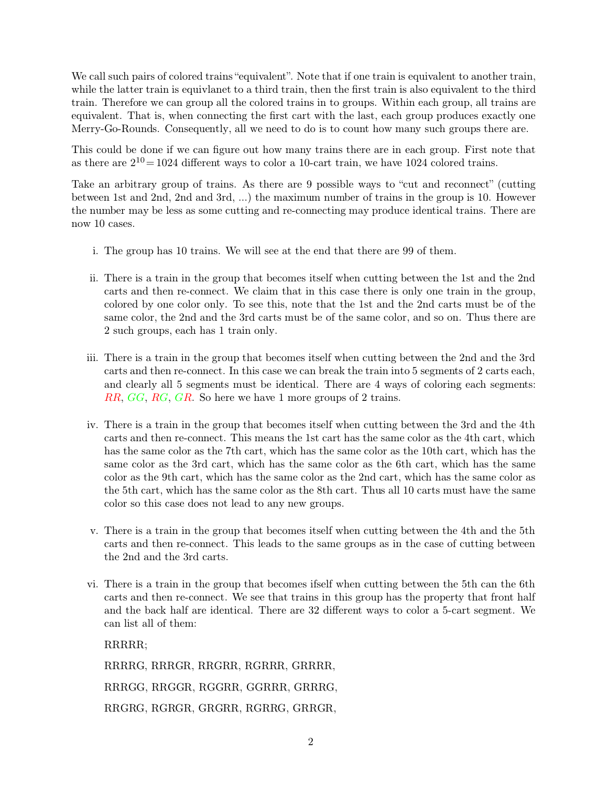We call such pairs of colored trains "equivalent". Note that if one train is equivalent to another train, while the latter train is equivalent to a third train, then the first train is also equivalent to the third We call such pairs of colored trains "equivalent". Note that if one train is equivalent to another train, while the latter train is equivalent to a third train, then the first train is also equivalent to the third train. T We call such pairs of colored trains "equivalent". Note that if one train is equivalent to another train, while the latter train is equivalent to a third train, then the first train is also equivalent to the third train. T We call such pairs of colored trains "equivalent". Note that if one train is equivalent to another train, while the latter train is equivalent to a third train, then the first train is also equivalent to the third train. T We call such pairs of colored trains "equivalent". Note that if one train is equivalent to another train, while the latter train is equivalent to a third train, then the first train is also equivalent to the third train. T while the latter train is equivlanet to a third train, then the first train is also equivalent to the third<br>train. Therefore we can group all the colored trains in to groups. Within each group, all trains are<br>equivalent. train. Therefore we can group all the colored trains in to groups. Within each group, all trains<br>equivalent. That is, when connecting the first cart with the last, each group produces exactly<br>Merry-Go-Rounds. Consequently

Merry-Go-Rounds. Consequently, all we need to do is to count how many such groups there are.<br>This could be done if we can figure out how many trains there are in each group. First note that as there are  $2^{10} = 1024$  diff This could be done if we can figure out how many trains there are in each group. First note that as there are  $2^{10} = 1024$  different ways to color a 10-cart train, we have 1024 colored trains.<br>Take an arbitrary group of This could be done if we can figure out how many trains there are in each group. First note that<br>as there are  $2^{10} = 1024$  different ways to color a 10-cart train, we have 1024 colored trains.<br>Take an arbitrary group of as there are  $2^{10}$  =<br>Take an arbitrary<br>between 1st and 2<br>the number may b<br>now 10 cases. Take an arbitrary group of trains. As there are 9 possible ways to "cut and reconnect" (cutting<br>between 1st and 2nd, 2nd and 3rd, ...) the maximum number of trains in the group is 10. However<br>the number may be less as some

- 
- ii. There is a train in the group that becomes itself when cutting between the 1st and the 2nd<br>ii. There is a train in the group that becomes itself when cutting between the 1st and the 2nd<br>carts and then re-connect. We cl carts and then re-connect. We claim that in this case there is only one train in the group, colored by one color only. To see this, note that the 1st and the 2nd carts must be of the The group has 10 trains. We will see at the end that there are 99 of them.<br>There is a train in the group that becomes itself when cutting between the 1st and the 2nd<br>carts and then re-connect. We claim that in this case th The group has 10 trains. We will see at the end that there are 99 of them.<br>There is a train in the group that becomes itself when cutting between the 1st and the 2nd<br>carts and then re-connect. We claim that in this case th There is a train in the group that become<br>carts and then re-connect. We claim that<br>colored by one color only. To see this, no<br>same color, the 2nd and the 3rd carts mu<br>2 such groups, each has 1 train only. carts and then re-connect. We claim that in this case there is only one train in the group,<br>colored by one color only. To see this, note that the 1st and the 2nd carts must be of the<br>same color, the 2nd and the 3rd carts m
- colored by one color only. To see this, note that the 1st and the 2nd carts must be of the same color, the 2nd and the 3rd carts must be of the same color, and so on. Thus there are 2 such groups, each has 1 train only.<br>Th same color, the 2nd and the 3rd carts must be of the same color, and so on. Thus there are 2 such groups, each has 1 train only.<br>
There is a train in the group that becomes itself when cutting between the 2nd and the 3rd *RR*, *RG*, *RG*, *GR*. So here we have 1 more groups of 2 trains.<br>*RR, GG*, *RG*, *GR*. So here we have 1 more groups of 2 trains. in. There is a train in the group that becomes itself when cutting between the 2nd and the 3rd carts and then re-connect. In this case we can break the train into 5 segments of 2 carts each, and clearly all 5 segments mus
- carts and then re-connect. In this case we can break the train into 5 segments or 2 carts each, and clearly all 5 segments must be identical. There are 4 ways of coloring each segments:  $RR$ ,  $GG$ ,  $RG$ ,  $RG$ ,  $GR$ . So here we and clearly all 5 segments must be identical. There are 4 ways of coloring each segments:<br>  $RR$ ,  $GG$ ,  $RG$ ,  $GR$ . So here we have 1 more groups of 2 trains.<br>
There is a train in the group that becomes itself when cutting bet FIR, GG, RG, GR. So here we have 1 more groups of 2 trains.<br>There is a train in the group that becomes itself when cutting between the 3rd and the 4th carts and then re-connect. This means the 1st cart has the same color There is a train in the group that becomes itself when cutting between the 3rd and the 4th carts and then re-connect. This means the 1st cart has the same color as the 4th cart, which has the same color as the 10th cart, w There is a train in the group that becomes itself when cutting between the 3rd and the 4th carts and then re-connect. This means the 1st cart has the same color as the 4th cart, which has the same color as the 7th cart, wh carts and then re-connect. This means the 1st cart has the same color as the 4th cart, which has the same color as the 3rd cart, which has the same color as the 10th cart, which has the same color as the 3rd cart, which ha same color as the *s*rd cart, which has the same color as the 0th cart, which has the same color as the 9th cart, which has the same color as the 2nd cart, which has the same color as the 5th cart, which has the same color
- color as the 9th cart, which has the same color as the 2nd cart, which has the same color as<br>the 5th cart, which has the same color as the 8th cart. Thus all 10 carts must have the same<br>color so this case does not lead to the 5th cart, which has the same<br>color so this case does not lead<br>There is a train in the group th<br>carts and then re-connect. This<br>the 2nd and the 3rd carts. v. There is a train in the group that becomes itself when cutting between the 4th and the 5th carts and then re-connect. This leads to the same groups as in the case of cutting between the 2nd and the 3rd carts.<br>vi. There
- There is a train in the group that becomes itself when cutting between the 4th and the 3th carts and then re-connect. This leads to the same groups as in the case of cutting between the 2nd and the 3rd carts.<br>There is a tr carts and then re-connect. Inis leads to the same groups as in the case of cutting between<br>the 2nd and the 3rd carts.<br>There is a train in the group that becomes ifself when cutting between the 5th can the 6th<br>carts and the the 2nd and the 3rd carts.<br>
vi. There is a train in the group that becomes ifself when cutting between the 5th can the 6th<br>
carts and then re-connect. We see that trains in this group has the property that front half<br>
and and the back half are identical. There are 32 different ways to color a 5-cart segment. We can list all of them:<br>RRRRR;<br>RRRRR, GRRRR, GRRRR, GRRRR, GRRRR, GRRRR, GRRRR, GRRRR, GRRRR, GRRRR, GRRRR, GRRRR, GRRRR, GRRRR, GRRR

RRRRR; can list all of them:<br>RRRRR;<br>RRRRG, RRRGR, RRGRR, RGRRR, GRRRR,<br>RRRGG, RRGGR, RGGRR, GGRRR, GRRRG,<br>RRGRG, RGRGR, GRGRR, RGRRG, GRRGR RRRRR;<br>RRRRG, RRRGR, RRGRR, RGRRR, GRRRR,<br>RRRGG, RRGGR, RGGRR, GGRRR, GRRRG,<br>RRGRG, RGRGR, GRGRR, RGRRG, GRRGR,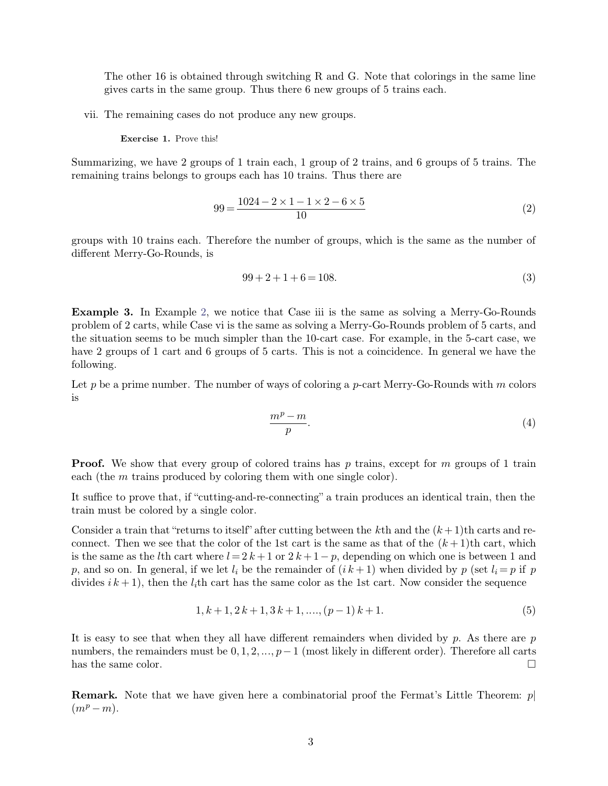The other 16 is obtained through switching R and G. Note that colorings in the same line gives carts in the same group. Thus there 6 new groups of 5 trains each. The other 16 is obtained through switching R and G. Note that colorings in gives carts in the same group. Thus there 6 new groups of 5 trains each. The other 16 is obtained through switching R and G. No<br>gives carts in the same group. Thus there 6 new groups of<br>vii. The remaining cases do not produce any new groups. gives carts in the same group. Thus there 6 new groups of 5 trains each.<br>
vii. The remaining cases do not produce any new groups.<br> **Exercise 1.** Prove this!<br>
Summarizing, we have 2 groups of 1 train each, 1 group of 2 trai

Fig. 2.1 The remaining cases do not produce any new groups.<br>
Summarizing, we have 2 groups of 1 train each, 1 group of 2 trains, and 6 groups of 5 trains. The remaining trains belongs to groups each has 10 trains. Thus the remaining trains belongs to groups each has 10 trains. Thus there are

$$
99 = \frac{1024 - 2 \times 1 - 1 \times 2 - 6 \times 5}{10}
$$
 (2)

remaining trains belongs to groups each has 10 trains. Thus there are<br>  $99 = \frac{1024 - 2 \times 1 - 1 \times 2 - 6 \times 5}{10}$  (2)<br>
groups with 10 trains each. Therefore the number of groups, which is the same as the number of<br>
different M groups with 10 trains each. Therefore the number of groups, which is the same as the number of different Merry-Go-Rounds, is 99 + 2 + 1 + 6 = 108*.* (3)<br>
99 + 2 + 1 + 6 = 108*.* (3)

$$
99 + 2 + 1 + 6 = 108.\t(3)
$$

**Example 3.** In Example 2, we notice that Case iii is the same as solving a Merry-Go-Rounds problem of 2 carts, while Case vi is the same as solving a Merry-Go-Rounds problem of 2 carts, while Case vi is the same as solvi  $99 + 2 + 1 + 6 = 108.$  $99 + 2 + 1 + 6 = 108.$  $99 + 2 + 1 + 6 = 108.$  (3)<br>Example 3. In Example 2, we notice that Case iii is the same as solving a Merry-Go-Rounds<br>problem of 2 carts, while Case vi is the same as solving a Merry-Go-Rounds problem of 5 carts, and<br>the situ  $99 + 2 + 1 + 6 = 108.$  (3)<br> **Example 3.** In Example 2, we notice that Case iii is the same as solving a Merry-Go-Rounds<br>
problem of 2 carts, while Case vi is the same as solving a Merry-Go-Rounds problem of 5 carts, and<br>
the **Example 3.** In Example 2, we notice that Case iii is the same as solving a Merry-Go-Rounds problem of 2 carts, while Case vi is the same as solving a Merry-Go-Rounds problem of 5 carts, and the situation seems to be much following. problem of 2 carts, while Case vi is the same as solving a Merry-Go-Rounds problem of 5 carts, and<br>the situation seems to be much simpler than the 10-cart case. For example, in the 5-cart case, we<br>have 2 groups of 1 cart

is

$$
\frac{m^p - m}{p}.\tag{4}
$$

**Proof.** We show that every group of colored trains has *p* trains, except for *m* groups of 1 train each (the *m* trains produced by coloring them with one single color). **e**<br> **each** (the *m* trains produced by coloring them with one single color).<br>
It suffice to prove that, if "cutting-and-re-connecting" a train produces an **Proof.** We show that every group of colored trains has p trains, except for m groups of 1 train each (the m trains produced by coloring them with one single color).<br>It suffice to prove that, if "cutting-and-re-connecting **Proof.** We show that every group of color each (the  $m$  trains produced by coloring the It suffice to prove that, if "cutting-and-re-colorain must be colored by a single color. Consider a train that "returns to itself" a

**Proof.** We show that every group of colored trains has p trains, except for m groups of 1 train each (the m trains produced by coloring them with one single color).<br>It suffice to prove that, if "cutting-and-re-connecting each (the *m* trains produced by coloring them with one single color).<br>It suffice to prove that, if "cutting-and-re-connecting" a train produces an identical train, then the<br>train must be colored by a single color.<br>Consid It suffice to prove that, if "cutting-and-re-connecting" a train produces an identical train, then the<br>train must be colored by a single color.<br>Consider a train that "returns to itself" after cutting between the *k*th and *p*, consider a train that "returns to itself" after cutting between the *k*th and the  $(k+1)$ th carts and reconnect. Then we see that the color of the 1st cart is the same as that of the  $(k+1)$ th cart, which is the same a Consider a train that "returns to itself" after cutting between the *k*th and the  $(k+1)$ th carts and reconnect. Then we see that the color of the 1st cart is the same as that of the  $(k+1)$ th cart, which is the same as the where  $l = 2k + 1$  or  $2k + 1 - p$ , depending on which one is between 1 and<br>f we let  $l_i$  be the remainder of  $(ik + 1)$  when divided by  $p$  (set  $l_i = p$  if  $p$ <br>*i*th cart has the same color as the 1st cart. Now consider the sequ

$$
1, k+1, 2k+1, 3k+1, \dots, (p-1)k+1.
$$
\n<sup>(5)</sup>

It is easy to see that when they all have different remainders when divided by *p* (set  $i_i - p$  in *p* divides  $ik + 1$ ), then the  $l_i$ th cart has the same color as the 1st cart. Now consider the sequence  $1, k + 1, 2k + 1, 3k +$  $1, k+1, 2k+1, 3k+1, ..., (p-1)k+1.$  (5)<br>It is easy to see that when they all have different remainders when divided by p. As there are p<br>numbers, the remainders must be 0, 1, 2, ...,  $p-1$  (most likely in different order). The  $1, k+1, 2k+1, 3k+1, \ldots, (p-1)k+1.$  (5)<br>It is easy to see that when they all have different remainders when divided by p. As there are p<br>numbers, the remainders must be  $0, 1, 2, \ldots, p-1$  (most likely in different order). Th It is easy to see that when they all have different remainders when divided by  $p$ . As there are  $p$  numbers, the remainders must be  $0, 1, 2, ..., p-1$  (most likely in different order). Therefore all carts has the same color.

 $(m^p - m)$ .